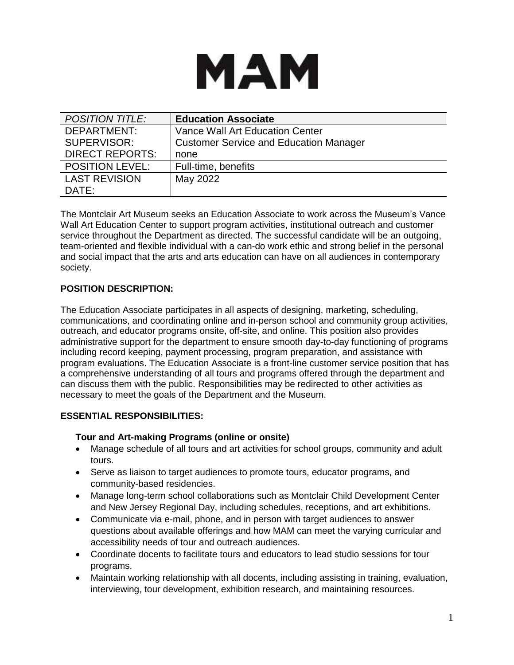

| <b>POSITION TITLE:</b> | <b>Education Associate</b>                    |
|------------------------|-----------------------------------------------|
| DEPARTMENT:            | Vance Wall Art Education Center               |
| SUPERVISOR:            | <b>Customer Service and Education Manager</b> |
| <b>DIRECT REPORTS:</b> | none                                          |
| <b>POSITION LEVEL:</b> | Full-time, benefits                           |
| <b>LAST REVISION</b>   | May 2022                                      |
| DATE:                  |                                               |

The Montclair Art Museum seeks an Education Associate to work across the Museum's Vance Wall Art Education Center to support program activities, institutional outreach and customer service throughout the Department as directed. The successful candidate will be an outgoing, team-oriented and flexible individual with a can-do work ethic and strong belief in the personal and social impact that the arts and arts education can have on all audiences in contemporary society.

## **POSITION DESCRIPTION:**

The Education Associate participates in all aspects of designing, marketing, scheduling, communications, and coordinating online and in-person school and community group activities, outreach, and educator programs onsite, off-site, and online. This position also provides administrative support for the department to ensure smooth day-to-day functioning of programs including record keeping, payment processing, program preparation, and assistance with program evaluations. The Education Associate is a front-line customer service position that has a comprehensive understanding of all tours and programs offered through the department and can discuss them with the public. Responsibilities may be redirected to other activities as necessary to meet the goals of the Department and the Museum.

## **ESSENTIAL RESPONSIBILITIES:**

### **Tour and Art-making Programs (online or onsite)**

- Manage schedule of all tours and art activities for school groups, community and adult tours.
- Serve as liaison to target audiences to promote tours, educator programs, and community-based residencies.
- Manage long-term school collaborations such as Montclair Child Development Center and New Jersey Regional Day, including schedules, receptions, and art exhibitions.
- Communicate via e-mail, phone, and in person with target audiences to answer questions about available offerings and how MAM can meet the varying curricular and accessibility needs of tour and outreach audiences.
- Coordinate docents to facilitate tours and educators to lead studio sessions for tour programs.
- Maintain working relationship with all docents, including assisting in training, evaluation, interviewing, tour development, exhibition research, and maintaining resources.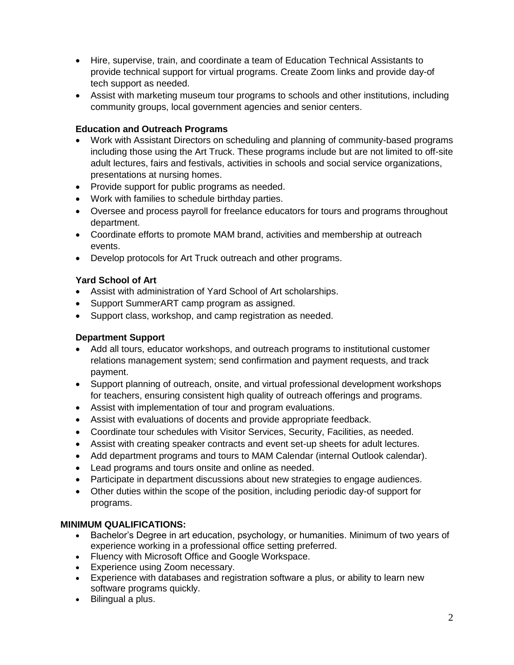- Hire, supervise, train, and coordinate a team of Education Technical Assistants to provide technical support for virtual programs. Create Zoom links and provide day-of tech support as needed.
- Assist with marketing museum tour programs to schools and other institutions, including community groups, local government agencies and senior centers.

## **Education and Outreach Programs**

- Work with Assistant Directors on scheduling and planning of community-based programs including those using the Art Truck. These programs include but are not limited to off-site adult lectures, fairs and festivals, activities in schools and social service organizations, presentations at nursing homes.
- Provide support for public programs as needed.
- Work with families to schedule birthday parties.
- Oversee and process payroll for freelance educators for tours and programs throughout department.
- Coordinate efforts to promote MAM brand, activities and membership at outreach events.
- Develop protocols for Art Truck outreach and other programs.

## **Yard School of Art**

- Assist with administration of Yard School of Art scholarships.
- Support SummerART camp program as assigned.
- Support class, workshop, and camp registration as needed.

# **Department Support**

- Add all tours, educator workshops, and outreach programs to institutional customer relations management system; send confirmation and payment requests, and track payment.
- Support planning of outreach, onsite, and virtual professional development workshops for teachers, ensuring consistent high quality of outreach offerings and programs.
- Assist with implementation of tour and program evaluations.
- Assist with evaluations of docents and provide appropriate feedback.
- Coordinate tour schedules with Visitor Services, Security, Facilities, as needed.
- Assist with creating speaker contracts and event set-up sheets for adult lectures.
- Add department programs and tours to MAM Calendar (internal Outlook calendar).
- Lead programs and tours onsite and online as needed.
- Participate in department discussions about new strategies to engage audiences.
- Other duties within the scope of the position, including periodic day-of support for programs.

## **MINIMUM QUALIFICATIONS:**

- Bachelor's Degree in art education, psychology, or humanities. Minimum of two years of experience working in a professional office setting preferred.
- Fluency with Microsoft Office and Google Workspace.
- Experience using Zoom necessary.
- Experience with databases and registration software a plus, or ability to learn new software programs quickly.
- Bilingual a plus.